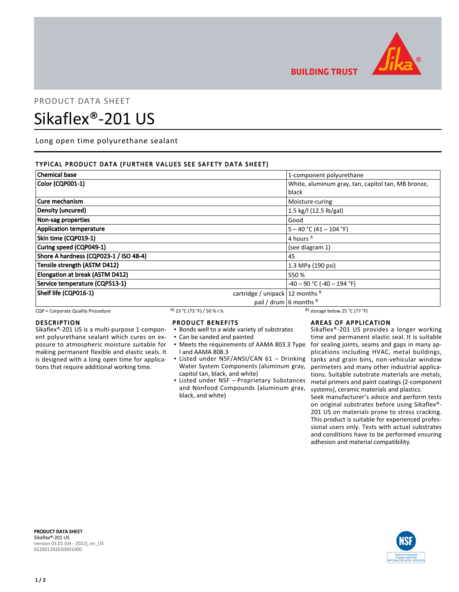

**BUILDING TRUST** 

# PRODUCT DATA SHEET

# Sikaflex®-201 US

Long open time polyurethane sealant

## TYPICAL PRODUCT DATA (FURTHER VALUES SEE SAFETY DATA SHEET)

| <b>Chemical base</b>                                           | 1-component polyurethane                                    |
|----------------------------------------------------------------|-------------------------------------------------------------|
| Color (CQP001-1)                                               | White, aluminum gray, tan, capitol tan, MB bronze,<br>black |
| Cure mechanism                                                 | Moisture-curing                                             |
| Density (uncured)                                              | 1.5 kg/l (12.5 lb/gal)                                      |
| Non-sag properties                                             | Good                                                        |
| <b>Application temperature</b>                                 | $5 - 40$ °C (41 - 104 °F)                                   |
| Skin time (CQP019-1)                                           | 4 hours A                                                   |
| Curing speed (CQP049-1)                                        | (see diagram 1)                                             |
| Shore A hardness (CQP023-1 / ISO 48-4)                         | 45                                                          |
| Tensile strength (ASTM D412)                                   | 1.3 MPa (190 psi)                                           |
| Elongation at break (ASTM D412)                                | 550 %                                                       |
| Service temperature (CQP513-1)                                 | $-40 - 90$ °C ( $-40 - 194$ °F)                             |
| Shelf life (CQP016-1)<br>cartridge / unipack $ 12$ months $ 8$ |                                                             |
|                                                                | pail / drum $\frac{1}{2}$ 6 months $\frac{1}{2}$            |

CQP = Corporate Quality Procedure  $A$ ) 23 °C (73 °F) / 50 % r.h. B) storage below 25 °C (77 °F)

#### DESCRIPTION

Sikaflex®-201 US is a multi-purpose 1-component polyurethane sealant which cures on exposure to atmospheric moisture suitable for making permanent flexible and elastic seals. It is designed with a long open time for applications that require additional working time.

#### PRODUCT BENEFITS

- Bonds well to a wide variety of substrates
- Can be sanded and painted
- Meets the requirements of AAMA 803.3 Type I and AAMA 808.3
- Listed under NSF/ANSI/CAN 61 Drinking Water System Components (aluminum gray, capitol tan, black, and white)
- Listed under NSF Proprietary Substances and Nonfood Compounds (aluminum gray, black, and white)

#### AREAS OF APPLICATION

Sikaflex®-201 US provides a longer working time and permanent elastic seal. It is suitable for sealing joints, seams and gaps in many applications including HVAC, metal buildings, tanks and grain bins, non-vehicular window perimeters and many other industrial applications. Suitable substrate materials are metals, metal primers and paint coatings (2-component systems), ceramic materials and plastics.

Seek manufacturer's advice and perform tests on original substrates before using Sikaflex®- 201 US on materials prone to stress cracking. This product is suitable for experienced professional users only. Tests with actual substrates and conditions have to be performed ensuring adhesion and material compatibility.

PRODUCT DATA SHEET Sikaflex®-201 US Version 03.01 (04 - 2022), en\_US 012001202010001000